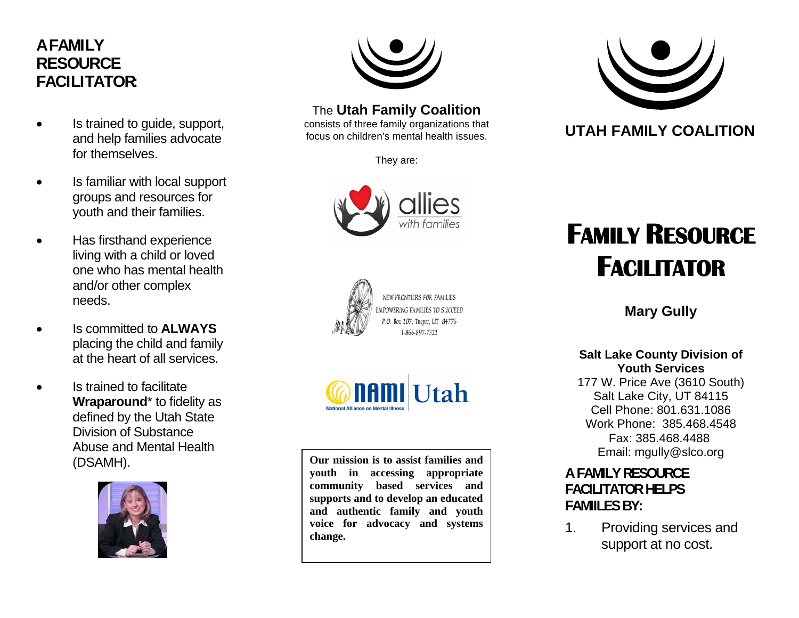## **A F A M I L Y R E S O U R C E FACILITATOR:**

- Is trained to guide, support, and help families advocate for themselves.
- Is familiar with local support groups and resources for youth and their families.
- Has firsthand experience living with a child or loved one who has mental health and/or other complex needs.
- Is committed to **ALWAYS** placing the child and family at the heart of all services.
- Is trained to facilitate **Wraparound**\* to fidelity as defined by the Utah State Division of Substance Abuse and Mental Health (DSAMH).





### The **Utah Family Coalition**

consists of three family organizations that focus on children's mental health issues.

They are:







**Our mission is to assist families and youth in accessing appropriate community based services and supports and to develop an educated and authentic family and youth voice for advocacy and systems change.** 



## **UTAH FAMILY COALITION**

# **FAMILY RESOURCE FACILITATOR**

**Mary Gully**

#### **Salt Lake County Division of Youth Services**

177 W. Price Ave (3610 South) Salt Lake City, UT 84115 Cell Phone: 801.631.1086 Work Phone: 385.468.4548 Fax: 385.468.4488Email: mgully@slco.org

### **A FAMILY RESOURCE FACILITATOR HELPS FAMIILES BY:**

1. Providing services and support at no cost.